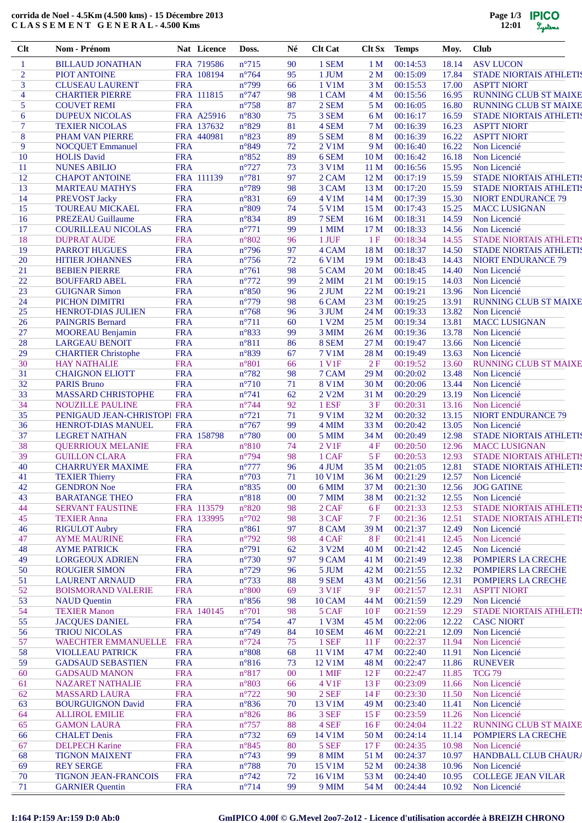## **corrida de Noel - 4.5Km (4.500 kms) - 15 Décembre 2013 C L A S S E M E N T G E N E R A L - 4.500 Kms**

| Clt            | Nom - Prénom                                       |                          | Nat Licence              | Doss.                              | Né       | <b>Clt Cat</b>         | Clt Sx                             | <b>Temps</b>         | Moy.           | <b>Club</b>                                        |
|----------------|----------------------------------------------------|--------------------------|--------------------------|------------------------------------|----------|------------------------|------------------------------------|----------------------|----------------|----------------------------------------------------|
| $\mathbf{1}$   | <b>BILLAUD JONATHAN</b>                            |                          | FRA 719586               | $n^{\circ}715$                     | 90       | 1 SEM                  | 1 <sub>M</sub>                     | 00:14:53             | 18.14          | <b>ASV LUCON</b>                                   |
| $\overline{2}$ | <b>PIOT ANTOINE</b>                                |                          | FRA 108194               | $n^{\circ}$ 764                    | 95       | 1 JUM                  | 2M                                 | 00:15:09             | 17.84          | <b>STADE NIORTAIS ATHLETIS</b>                     |
| 3              | <b>CLUSEAU LAURENT</b>                             | <b>FRA</b>               |                          | $n^{\circ}$ 799                    | 66       | 1 V1M                  | 3 <sub>M</sub>                     | 00:15:53             | 17.00          | <b>ASPTT NIORT</b>                                 |
| 4              | <b>CHARTIER PIERRE</b>                             |                          | FRA 111815               | $n^{\circ}$ 747                    | 98       | 1 CAM                  | 4 <sub>M</sub>                     | 00:15:56             | 16.95          | <b>RUNNING CLUB ST MAIXE</b>                       |
| 5              | <b>COUVET REMI</b>                                 | <b>FRA</b>               |                          | $n^{\circ}758$                     | 87       | 2 SEM                  | 5 M                                | 00:16:05             | 16.80          | <b>RUNNING CLUB ST MAIXE</b>                       |
| 6<br>7         | <b>DUPEUX NICOLAS</b><br><b>TEXIER NICOLAS</b>     |                          | FRA A25916<br>FRA 137632 | $n^{\circ}830$<br>$n^{\circ}829$   | 75<br>81 | 3 SEM<br>4 SEM         | 6 M<br>7 <sub>M</sub>              | 00:16:17<br>00:16:39 | 16.59<br>16.23 | STADE NIORTAIS ATHLETIS<br><b>ASPTT NIORT</b>      |
| 8              | PHAM VAN PIERRE                                    |                          | FRA 440981               | $n^{\circ}823$                     | 89       | 5 SEM                  | 8 M                                | 00:16:39             | 16.22          | <b>ASPTT NIORT</b>                                 |
| 9              | <b>NOCQUET Emmanuel</b>                            | <b>FRA</b>               |                          | n°849                              | 72       | 2 V1M                  | 9 M                                | 00:16:40             | 16.22          | Non Licencié                                       |
| 10             | <b>HOLIS David</b>                                 | <b>FRA</b>               |                          | $n^{\circ}852$                     | 89       | 6 SEM                  | 10 <sub>M</sub>                    | 00:16:42             | 16.18          | Non Licencié                                       |
| 11             | <b>NUNES ABILIO</b>                                | <b>FRA</b>               |                          | $n^{\circ}727$                     | 73       | 3 V1M                  | 11 <sub>M</sub>                    | 00:16:56             | 15.95          | Non Licencié                                       |
| 12             | <b>CHAPOT ANTOINE</b>                              |                          | FRA 111139               | $n^{\circ}781$                     | 97       | 2 CAM                  | 12 <sub>M</sub>                    | 00:17:19             | 15.59          | <b>STADE NIORTAIS ATHLETIS</b>                     |
| 13             | <b>MARTEAU MATHYS</b>                              | <b>FRA</b>               |                          | $n^{\circ}789$                     | 98       | 3 CAM                  | 13 <sub>M</sub>                    | 00:17:20             | 15.59          | STADE NIORTAIS ATHLETIS                            |
| 14<br>15       | <b>PREVOST Jacky</b><br><b>TOUREAU MICKAEL</b>     | <b>FRA</b><br><b>FRA</b> |                          | $n^{\circ}831$<br>$n^{\circ}809$   | 69<br>74 | 4 V1M<br>5 V1M         | 14 <sub>M</sub><br>15 <sub>M</sub> | 00:17:39<br>00:17:43 | 15.30<br>15.25 | <b>NIORT ENDURANCE 79</b><br><b>MACC LUSIGNAN</b>  |
| 16             | <b>PREZEAU Guillaume</b>                           | <b>FRA</b>               |                          | n°834                              | 89       | 7 SEM                  | 16 <sub>M</sub>                    | 00:18:31             | 14.59          | Non Licencié                                       |
| 17             | <b>COURILLEAU NICOLAS</b>                          | <b>FRA</b>               |                          | $n^{\circ}771$                     | 99       | 1 MIM                  | 17 <sub>M</sub>                    | 00:18:33             | 14.56          | Non Licencié                                       |
| 18             | <b>DUPRAT AUDE</b>                                 | <b>FRA</b>               |                          | $n^{\circ}802$                     | 96       | 1 JUF                  | 1F                                 | 00:18:34             | 14.55          | <b>STADE NIORTAIS ATHLETIS</b>                     |
| 19             | <b>PARROT HUGUES</b>                               | <b>FRA</b>               |                          | $n^{\circ}$ 796                    | 97       | 4 CAM                  | 18 M                               | 00:18:37             | 14.50          | <b>STADE NIORTAIS ATHLETIS</b>                     |
| 20             | <b>HITIER JOHANNES</b>                             | <b>FRA</b>               |                          | $n^{\circ}$ 756                    | 72       | 6 V1M                  | 19 <sub>M</sub>                    | 00:18:43             | 14.43          | <b>NIORT ENDURANCE 79</b>                          |
| 21             | <b>BEBIEN PIERRE</b>                               | <b>FRA</b>               |                          | $n^{\circ}761$                     | 98       | 5 CAM                  | 20 <sub>M</sub>                    | 00:18:45             | 14.40          | Non Licencié                                       |
| 22             | <b>BOUFFARD ABEL</b>                               | <b>FRA</b>               |                          | $n^{\circ}772$                     | 99       | $2$ MIM                | 21 M                               | 00:19:15             | 14.03          | Non Licencié                                       |
| 23<br>24       | <b>GUIGNAR Simon</b><br>PICHON DIMITRI             | <b>FRA</b><br><b>FRA</b> |                          | $n^{\circ}850$<br>$n^{\circ}779$   | 96<br>98 | 2 JUM<br>6 CAM         | 22 M<br>23 M                       | 00:19:21<br>00:19:25 | 13.96<br>13.91 | Non Licencié<br><b>RUNNING CLUB ST MAIXE</b>       |
| 25             | <b>HENROT-DIAS JULIEN</b>                          | <b>FRA</b>               |                          | $n^{\circ}768$                     | 96       | 3 JUM                  | 24 M                               | 00:19:33             | 13.82          | Non Licencié                                       |
| 26             | <b>PAINGRIS Bernard</b>                            | <b>FRA</b>               |                          | $n^{\circ}711$                     | 60       | 1 V2M                  | 25 M                               | 00:19:34             | 13.81          | <b>MACC LUSIGNAN</b>                               |
| 27             | <b>MOOREAU Benjamin</b>                            | <b>FRA</b>               |                          | n°833                              | 99       | 3 MIM                  | 26 <sub>M</sub>                    | 00:19:36             | 13.78          | Non Licencié                                       |
| 28             | <b>LARGEAU BENOIT</b>                              | <b>FRA</b>               |                          | $n^{\circ}811$                     | 86       | 8 SEM                  | 27 M                               | 00:19:47             | 13.66          | Non Licencié                                       |
| 29             | <b>CHARTIER Christophe</b>                         | <b>FRA</b>               |                          | n°839                              | 67       | 7 V1M                  | 28 M                               | 00:19:49             | 13.63          | Non Licencié                                       |
| 30             | <b>HAY NATHALIE</b>                                | <b>FRA</b>               |                          | $n^{\circ}801$                     | 66       | 1 V1F                  | 2F                                 | 00:19:52             | 13.60          | <b>RUNNING CLUB ST MAIXE</b>                       |
| 31<br>32       | <b>CHAIGNON ELIOTT</b><br><b>PARIS Bruno</b>       | <b>FRA</b><br><b>FRA</b> |                          | $n^{\circ}782$<br>$n^{\circ}710$   | 98<br>71 | 7 CAM                  | 29 M<br>30 M                       | 00:20:02             | 13.48          | Non Licencié<br>Non Licencié                       |
| 33             | MASSARD CHRISTOPHE                                 | <b>FRA</b>               |                          | $n^{\circ}$ 741                    | 62       | 8 V1M<br>2 V2M         | 31 M                               | 00:20:06<br>00:20:29 | 13.44<br>13.19 | Non Licencié                                       |
| 34             | <b>NOUZILLE PAULINE</b>                            | <b>FRA</b>               |                          | $n^{\circ}$ 744                    | 92       | 1 ESF                  | 3F                                 | 00:20:31             | 13.16          | Non Licencié                                       |
| 35             | PENIGAUD JEAN-CHRISTOPI FRA                        |                          |                          | $n^{\circ}721$                     | 71       | 9 V1M                  | 32 M                               | 00:20:32             | 13.15          | <b>NIORT ENDURANCE 79</b>                          |
| 36             | <b>HENROT-DIAS MANUEL</b>                          | <b>FRA</b>               |                          | $n^{\circ}767$                     | 99       | 4 MIM                  | 33 M                               | 00:20:42             | 13.05          | Non Licencié                                       |
| 37             | <b>LEGRET NATHAN</b>                               |                          | FRA 158798               | $n^{\circ}780$                     | 00       | 5 MIM                  | 34 M                               | 00:20:49             | 12.98          | <b>STADE NIORTAIS ATHLETIS</b>                     |
| 38             | <b>QUERRIOUX MELANIE</b>                           | <b>FRA</b>               |                          | $n^{\circ}810$                     | 74       | 2 V <sub>1F</sub>      | 4F                                 | 00:20:50             | 12.96          | <b>MACC LUSIGNAN</b>                               |
| 39             | <b>GUILLON CLARA</b>                               | <b>FRA</b>               |                          | n°794                              | 98       | 1 CAF                  | 5F                                 | 00:20:53             | 12.93          | STADE NIORTAIS ATHLETIS                            |
| 40<br>41       | <b>CHARRUYER MAXIME</b><br><b>TEXIER Thierry</b>   | <b>FRA</b><br><b>FRA</b> |                          | $n^{\circ}777$<br>$n^{\circ}703$   | 96<br>71 | 4 JUM<br>10 V1M        | 35 M<br>36 M                       | 00:21:05<br>00:21:29 | 12.81<br>12.57 | <b>STADE NIORTAIS ATHLETIS</b><br>Non Licencié     |
| 42             | <b>GENDRON</b> Noe                                 | <b>FRA</b>               |                          | $n^{\circ}835$                     | 00       | 6 MIM                  | 37 M                               | 00:21:30             | 12.56          | <b>JOG GATINE</b>                                  |
| 43             | <b>BARATANGE THEO</b>                              | <b>FRA</b>               |                          | $n^{\circ}818$                     | 00       | 7 MIM                  | 38 M                               | 00:21:32             | 12.55          | Non Licencié                                       |
| 44             | <b>SERVANT FAUSTINE</b>                            |                          | FRA 113579               | $n^{\circ}820$                     | 98       | 2 CAF                  | 6 F                                | 00:21:33             | 12.53          | <b>STADE NIORTAIS ATHLETIS</b>                     |
| 45             | <b>TEXIER Anna</b>                                 |                          | FRA 133995               | $n^{\circ}702$                     | 98       | 3 CAF                  | 7F                                 | 00:21:36             | 12.51          | <b>STADE NIORTAIS ATHLETIS</b>                     |
| 46             | <b>RIGULOT Aubry</b>                               | <b>FRA</b>               |                          | $n^{\circ}861$                     | 97       | 8 CAM                  | 39 M                               | 00:21:37             | 12.49          | Non Licencié                                       |
| 47             | <b>AYME MAURINE</b>                                | <b>FRA</b>               |                          | $n^{\circ}$ 792                    | 98       | 4 CAF                  | <b>8F</b>                          | 00:21:41             | 12.45          | Non Licencié                                       |
| 48<br>49       | <b>AYME PATRICK</b><br><b>LORGEOUX ADRIEN</b>      | <b>FRA</b><br><b>FRA</b> |                          | $n^{\circ}791$<br>$n^{\circ}730$   | 62<br>97 | 3 V2M<br>9 CAM         | 40 M<br>41 M                       | 00:21:42<br>00:21:49 | 12.45<br>12.38 | Non Licencié<br>POMPIERS LA CRECHE                 |
| 50             | <b>ROUGIER SIMON</b>                               | <b>FRA</b>               |                          | $n^{\circ}$ 729                    | 96       | 5 JUM                  | 42 M                               | 00:21:55             | 12.32          | POMPIERS LA CRECHE                                 |
| 51             | <b>LAURENT ARNAUD</b>                              | <b>FRA</b>               |                          | $n^{\circ}$ 733                    | 88       | 9 SEM                  | 43 M                               | 00:21:56             | 12.31          | <b>POMPIERS LA CRECHE</b>                          |
| 52             | <b>BOISMORAND VALERIE</b>                          | <b>FRA</b>               |                          | $n^{\circ}800$                     | 69       | 3 V1F                  | 9F                                 | 00:21:57             | 12.31          | <b>ASPTT NIORT</b>                                 |
| 53             | <b>NAUD</b> Quentin                                | <b>FRA</b>               |                          | $n^{\circ}856$                     | 98       | 10 CAM                 | 44 M                               | 00:21:59             | 12.29          | Non Licencié                                       |
| 54             | <b>TEXIER Manon</b>                                |                          | FRA 140145               | $n^{\circ}701$                     | 98       | 5 CAF                  | 10F                                | 00:21:59             | 12.29          | STADE NIORTAIS ATHLETIS                            |
| 55             | <b>JACQUES DANIEL</b>                              | <b>FRA</b>               |                          | $n^{\circ}$ 754                    | 47       | 1 V3M                  | 45 M                               | 00:22:06             | 12.22          | <b>CASC NIORT</b>                                  |
| 56<br>57       | <b>TRIOU NICOLAS</b><br><b>WAECHTER EMMANUELLE</b> | <b>FRA</b><br><b>FRA</b> |                          | $n^{\circ}$ 749<br>$n^{\circ}$ 724 | 84<br>75 | <b>10 SEM</b><br>1 SEF | 46 M<br>11 F                       | 00:22:21<br>00:22:37 | 12.09<br>11.94 | Non Licencié<br>Non Licencié                       |
| 58             | <b>VIOLLEAU PATRICK</b>                            | <b>FRA</b>               |                          | $n^{\circ}808$                     | 68       | 11 V1M                 | 47 M                               | 00:22:40             | 11.91          | Non Licencié                                       |
| 59             | <b>GADSAUD SEBASTIEN</b>                           | <b>FRA</b>               |                          | $n^{\circ}816$                     | 73       | 12 V1M                 | 48 M                               | 00:22:47             | 11.86          | <b>RUNEVER</b>                                     |
| 60             | <b>GADSAUD MANON</b>                               | <b>FRA</b>               |                          | $n^{\circ}817$                     | 00       | 1 MIF                  | 12F                                | 00:22:47             | 11.85          | <b>TCG 79</b>                                      |
| 61             | <b>NAZARET NATHALIE</b>                            | <b>FRA</b>               |                          | $n^{\circ}803$                     | 66       | 4 V1F                  | 13F                                | 00:23:09             | 11.66          | Non Licencié                                       |
| 62             | <b>MASSARD LAURA</b>                               | <b>FRA</b>               |                          | $n^{\circ}$ 722                    | 90       | $2$ SEF                | 14F                                | 00:23:30             | 11.50          | Non Licencié                                       |
| 63             | <b>BOURGUIGNON David</b>                           | <b>FRA</b>               |                          | $n^{\circ}836$                     | 70       | 13 V1M                 | 49 M                               | 00:23:40             | 11.41          | Non Licencié                                       |
| 64             | <b>ALLIROL EMILIE</b>                              | <b>FRA</b>               |                          | $n^{\circ}826$                     | 86       | 3 SEF                  | 15F                                | 00:23:59             | 11.26          | Non Licencié                                       |
| 65<br>66       | <b>GAMON LAURA</b><br><b>CHALET</b> Denis          | <b>FRA</b><br><b>FRA</b> |                          | $n^{\circ}757$<br>$n^{\circ}732$   | 88<br>69 | 4 SEF<br>14 V1M        | 16F<br>50 M                        | 00:24:04<br>00:24:14 | 11.22<br>11.14 | <b>RUNNING CLUB ST MAIXE</b><br>POMPIERS LA CRECHE |
| 67             | <b>DELPECH Karine</b>                              | <b>FRA</b>               |                          | n°845                              | 80       | 5 SEF                  | 17F                                | 00:24:35             | 10.98          | Non Licencié                                       |
| 68             | <b>TIGNON MAIXENT</b>                              | <b>FRA</b>               |                          | $n^{\circ}$ 743                    | 99       | 8 MIM                  | 51 M                               | 00:24:37             | 10.97          | HANDBALL CLUB CHAURA                               |
| 69             | <b>REY SERGE</b>                                   | <b>FRA</b>               |                          | $n^{\circ}788$                     | 70       | 15 V1M                 | 52 M                               | 00:24:38             | 10.96          | Non Licencié                                       |
| 70             | <b>TIGNON JEAN-FRANCOIS</b>                        | <b>FRA</b>               |                          | $n^{\circ}742$                     | 72       | 16 V1M                 | 53 M                               | 00:24:40             | 10.95          | <b>COLLEGE JEAN VILAR</b>                          |
| 71             | <b>GARNIER Quentin</b>                             | <b>FRA</b>               |                          | $n^{\circ}714$                     | 99       | 9 MIM                  | 54 M                               | 00:24:44             | 10.92          | Non Licencié                                       |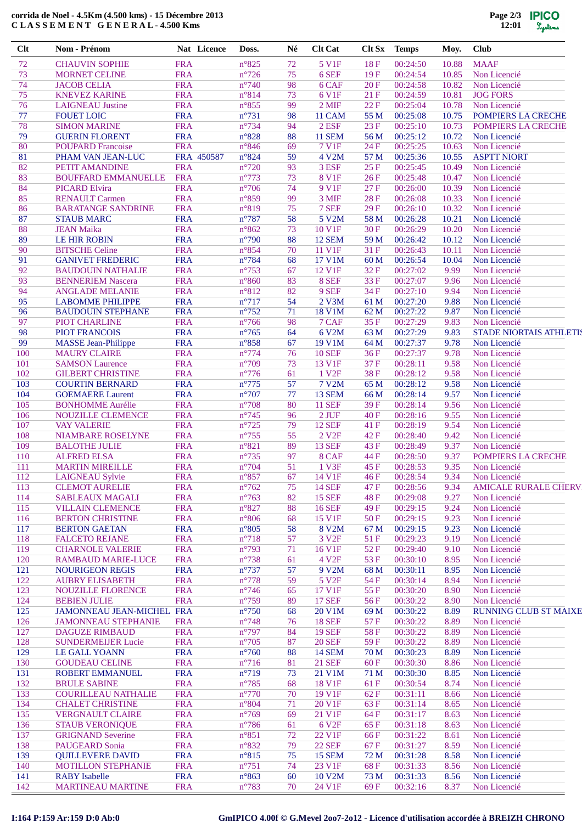## **corrida de Noel - 4.5Km (4.500 kms) - 15 Décembre 2013 C L A S S E M E N T G E N E R A L - 4.500 Kms**

| Clt        | Nom - Prénom                                       |                          | Nat Licence | Doss.                              | Né       | <b>Clt Cat</b>                     | Clt Sx           | <b>Temps</b>         | Moy.           | <b>Club</b>                        |
|------------|----------------------------------------------------|--------------------------|-------------|------------------------------------|----------|------------------------------------|------------------|----------------------|----------------|------------------------------------|
| 72         | <b>CHAUVIN SOPHIE</b>                              | <b>FRA</b>               |             | $n^{\circ}825$                     | 72       | 5 V1F                              | 18F              | 00:24:50             | 10.88          | <b>MAAF</b>                        |
| 73         | <b>MORNET CELINE</b>                               | <b>FRA</b>               |             | $n^{\circ}$ 726                    | 75       | 6 SEF                              | 19F              | 00:24:54             | 10.85          | Non Licencié                       |
| 74<br>75   | <b>JACOB CELIA</b><br><b>KNEVEZ KARINE</b>         | <b>FRA</b><br><b>FRA</b> |             | $n^{\circ}$ 740<br>n°814           | 98<br>73 | 6 CAF<br>6 V1F                     | 20F<br>21 F      | 00:24:58<br>00:24:59 | 10.82<br>10.81 | Non Licencié<br><b>JOG FORS</b>    |
| 76         | <b>LAIGNEAU</b> Justine                            | <b>FRA</b>               |             | $n^{\circ}855$                     | 99       | $2$ MIF                            | 22 F             | 00:25:04             | 10.78          | Non Licencié                       |
| 77         | <b>FOUET LOIC</b>                                  | <b>FRA</b>               |             | $n^{\circ}731$                     | 98       | 11 CAM                             | 55 M             | 00:25:08             | 10.75          | POMPIERS LA CRECHE                 |
| 78         | <b>SIMON MARINE</b>                                | <b>FRA</b>               |             | $n^{\circ}$ 734                    | 94       | $2$ ESF                            | 23 F             | 00:25:10             | 10.73          | POMPIERS LA CRECHE                 |
| 79         | <b>GUERIN FLORENT</b>                              | <b>FRA</b>               |             | $n^{\circ}828$                     | 88       | <b>11 SEM</b>                      | 56 M             | 00:25:12             | 10.72          | Non Licencié                       |
| 80<br>81   | <b>POUPARD Francoise</b><br>PHAM VAN JEAN-LUC      | <b>FRA</b>               | FRA 450587  | $n^{\circ}846$<br>$n^{\circ}824$   | 69<br>59 | 7 V1F<br>4 V2M                     | 24 F<br>57 M     | 00:25:25<br>00:25:36 | 10.63<br>10.55 | Non Licencié<br><b>ASPTT NIORT</b> |
| 82         | PETIT AMANDINE                                     | <b>FRA</b>               |             | $n^{\circ}720$                     | 93       | 3 ESF                              | 25F              | 00:25:45             | 10.49          | Non Licencié                       |
| 83         | <b>BOUFFARD EMMANUELLE</b>                         | <b>FRA</b>               |             | $n^{\circ}773$                     | 73       | <b>8 V1F</b>                       | 26F              | 00:25:48             | 10.47          | Non Licencié                       |
| 84         | <b>PICARD Elvira</b>                               | <b>FRA</b>               |             | $n^{\circ}706$                     | 74       | 9 V1F                              | 27 F             | 00:26:00             | 10.39          | Non Licencié                       |
| 85         | <b>RENAULT Carmen</b>                              | <b>FRA</b>               |             | $n^{\circ}859$                     | 99       | 3 MIF                              | 28 F             | 00:26:08             | 10.33          | Non Licencié                       |
| 86<br>87   | <b>BARATANGE SANDRINE</b><br><b>STAUB MARC</b>     | <b>FRA</b><br><b>FRA</b> |             | n°819<br>$n^{\circ}787$            | 75<br>58 | 7 SEF<br>5 V2M                     | 29 F<br>58 M     | 00:26:10<br>00:26:28 | 10.32<br>10.21 | Non Licencié<br>Non Licencié       |
| 88         | <b>JEAN Maika</b>                                  | <b>FRA</b>               |             | $n^{\circ}862$                     | 73       | 10 V1F                             | 30F              | 00:26:29             | 10.20          | Non Licencié                       |
| 89         | LE HIR ROBIN                                       | <b>FRA</b>               |             | $n^{\circ}$ 790                    | 88       | <b>12 SEM</b>                      | 59 M             | 00:26:42             | 10.12          | Non Licencié                       |
| 90         | <b>BITSCHE Celine</b>                              | <b>FRA</b>               |             | $n^{\circ}854$                     | 70       | 11 V1F                             | 31 F             | 00:26:43             | 10.11          | Non Licencié                       |
| 91         | <b>GANIVET FREDERIC</b>                            | <b>FRA</b>               |             | $n^{\circ}784$                     | 68       | 17 V1M                             | 60 M             | 00:26:54             | 10.04          | Non Licencié                       |
| 92         | <b>BAUDOUIN NATHALIE</b>                           | <b>FRA</b>               |             | $n^{\circ}753$                     | 67       | 12 V1F                             | 32 F             | 00:27:02             | 9.99           | Non Licencié                       |
| 93<br>94   | <b>BENNERIEM Nascera</b><br><b>ANGLADE MELANIE</b> | <b>FRA</b><br><b>FRA</b> |             | $n^{\circ}860$<br>$n^{\circ}812$   | 83<br>82 | 8 SEF<br>9 SEF                     | 33 F<br>34 F     | 00:27:07<br>00:27:10 | 9.96<br>9.94   | Non Licencié<br>Non Licencié       |
| 95         | <b>LABOMME PHILIPPE</b>                            | <b>FRA</b>               |             | $n^{\circ}717$                     | 54       | 2 V3M                              | 61 M             | 00:27:20             | 9.88           | Non Licencié                       |
| 96         | <b>BAUDOUIN STEPHANE</b>                           | <b>FRA</b>               |             | $n^{\circ}752$                     | 71       | <b>18 V1M</b>                      | 62 M             | 00:27:22             | 9.87           | Non Licencié                       |
| 97         | PIOT CHARLINE                                      | <b>FRA</b>               |             | $n^{\circ}$ 766                    | 98       | 7 CAF                              | 35F              | 00:27:29             | 9.83           | Non Licencié                       |
| 98         | <b>PIOT FRANCOIS</b>                               | <b>FRA</b>               |             | $n^{\circ}765$                     | 64       | 6 V2M                              | 63 M             | 00:27:29             | 9.83           | <b>STADE NIORTAIS ATHLETIS</b>     |
| 99         | <b>MASSE</b> Jean-Philippe                         | <b>FRA</b>               |             | $n^{\circ}858$                     | 67       | 19 V1M                             | 64 M             | 00:27:37             | 9.78           | Non Licencié                       |
| 100<br>101 | <b>MAURY CLAIRE</b><br><b>SAMSON Laurence</b>      | <b>FRA</b><br><b>FRA</b> |             | $n^{\circ}774$<br>$n^{\circ}709$   | 76<br>73 | <b>10 SEF</b><br>13 V1F            | 36F<br>37 F      | 00:27:37<br>00:28:11 | 9.78<br>9.58   | Non Licencié<br>Non Licencié       |
| 102        | <b>GILBERT CHRISTINE</b>                           | <b>FRA</b>               |             | $n^{\circ}776$                     | 61       | 1 V <sub>2F</sub>                  | 38F              | 00:28:12             | 9.58           | Non Licencié                       |
| 103        | <b>COURTIN BERNARD</b>                             | <b>FRA</b>               |             | $n^{\circ}775$                     | 57       | <b>7 V2M</b>                       | 65 M             | 00:28:12             | 9.58           | Non Licencié                       |
| 104        | <b>GOEMAERE</b> Laurent                            | <b>FRA</b>               |             | $n^{\circ}707$                     | 77       | <b>13 SEM</b>                      | 66 M             | 00:28:14             | 9.57           | Non Licencié                       |
| 105        | <b>BONHOMME Aurélie</b>                            | <b>FRA</b>               |             | $n^{\circ}708$                     | 80       | <b>11 SEF</b>                      | 39 F             | 00:28:14             | 9.56           | Non Licencié                       |
| 106        | NOUZILLE CLEMENCE                                  | <b>FRA</b>               |             | $n^{\circ}$ 745                    | 96       | $2$ JUF                            | 40 F             | 00:28:16             | 9.55           | Non Licencié                       |
| 107<br>108 | <b>VAY VALERIE</b><br>NIAMBARE ROSELYNE            | <b>FRA</b><br><b>FRA</b> |             | $n^{\circ}$ 725<br>$n^{\circ}$ 755 | 79<br>55 | <b>12 SEF</b><br>2 V <sub>2F</sub> | 41 F<br>42F      | 00:28:19<br>00:28:40 | 9.54<br>9.42   | Non Licencié<br>Non Licencié       |
| 109        | <b>BALOTHE JULIE</b>                               | <b>FRA</b>               |             | $n^{\circ}821$                     | 89       | <b>13 SEF</b>                      | 43 F             | 00:28:49             | 9.37           | Non Licencié                       |
| 110        | <b>ALFRED ELSA</b>                                 | <b>FRA</b>               |             | $n^{\circ}$ 735                    | 97       | 8 CAF                              | 44 F             | 00:28:50             | 9.37           | POMPIERS LA CRECHE                 |
| 111        | <b>MARTIN MIREILLE</b>                             | <b>FRA</b>               |             | $n^{\circ}704$                     | 51       | 1 V3F                              | 45 F             | 00:28:53             | 9.35           | Non Licencié                       |
| 112        | <b>LAIGNEAU Sylvie</b>                             | <b>FRA</b>               |             | $n^{\circ}857$                     | 67       | 14 V1F                             | $46\overline{F}$ | 00:28:54             | 9.34           | Non Licencié                       |
| 113        | <b>CLEMOT AURELIE</b>                              | <b>FRA</b>               |             | $n^{\circ}762$                     | 75       | <b>14 SEF</b>                      | 47 F             | 00:28:56             | 9.34           | <b>AMICALE RURALE CHERV</b>        |
| 114<br>115 | <b>SABLEAUX MAGALI</b><br><b>VILLAIN CLEMENCE</b>  | <b>FRA</b><br><b>FRA</b> |             | $n^{\circ}763$<br>n°827            | 82<br>88 | <b>15 SEF</b><br><b>16 SEF</b>     | 48 F<br>49 F     | 00:29:08<br>00:29:15 | 9.27<br>9.24   | Non Licencié<br>Non Licencié       |
| 116        | <b>BERTON CHRISTINE</b>                            | <b>FRA</b>               |             | $n^{\circ}806$                     | 68       | 15 V1F                             | 50 F             | 00:29:15             | 9.23           | Non Licencié                       |
| 117        | <b>BERTON GAETAN</b>                               | <b>FRA</b>               |             | $n^{\circ}805$                     | 58       | 8 V2M                              | 67 M             | 00:29:15             | 9.23           | Non Licencié                       |
| 118        | <b>FALCETO REJANE</b>                              | <b>FRA</b>               |             | $n^{\circ}718$                     | 57       | 3 V <sub>2F</sub>                  | 51 F             | 00:29:23             | 9.19           | Non Licencié                       |
| 119        | <b>CHARNOLE VALERIE</b>                            | <b>FRA</b>               |             | $n^{\circ}793$                     | 71       | 16 V1F                             | 52 F             | 00:29:40             | 9.10           | Non Licencié                       |
| 120        | <b>RAMBAUD MARIE-LUCE</b>                          | <b>FRA</b>               |             | $n^{\circ}738$                     | 61       | 4 V <sub>2F</sub>                  | 53 F             | 00:30:10             | 8.95           | Non Licencié                       |
| 121<br>122 | <b>NOURIGEON REGIS</b><br><b>AUBRY ELISABETH</b>   | <b>FRA</b><br><b>FRA</b> |             | $n^{\circ}$ 737<br>$n^{\circ}778$  | 57<br>59 | 9 V2M<br>5 V <sub>2F</sub>         | 68 M<br>54 F     | 00:30:11<br>00:30:14 | 8.95<br>8.94   | Non Licencié<br>Non Licencié       |
| 123        | NOUZILLE FLORENCE                                  | <b>FRA</b>               |             | $n^{\circ}$ 746                    | 65       | 17 V1F                             | 55F              | 00:30:20             | 8.90           | Non Licencié                       |
| 124        | <b>BEBIEN JULIE</b>                                | <b>FRA</b>               |             | $n^{\circ}759$                     | 89       | <b>17 SEF</b>                      | 56 F             | 00:30:22             | 8.90           | Non Licencié                       |
| 125        | JAMONNEAU JEAN-MICHEL FRA                          |                          |             | $n^{\circ}750$                     | 68       | 20 V1M                             | 69 M             | 00:30:22             | 8.89           | <b>RUNNING CLUB ST MAIXE</b>       |
| 126        | <b>JAMONNEAU STEPHANIE</b>                         | <b>FRA</b>               |             | $n^{\circ}$ 748                    | 76       | <b>18 SEF</b>                      | 57 F             | 00:30:22             | 8.89           | Non Licencié                       |
| 127        | <b>DAGUZE RIMBAUD</b>                              | <b>FRA</b>               |             | n°797                              | 84       | <b>19 SEF</b>                      | 58 F             | 00:30:22             | 8.89           | Non Licencié                       |
| 128<br>129 | <b>SUNDERMEIJER Lucie</b><br><b>LE GALL YOANN</b>  | <b>FRA</b><br><b>FRA</b> |             | $n^{\circ}705$<br>$n^{\circ}760$   | 87<br>88 | <b>20 SEF</b><br><b>14 SEM</b>     | 59 F<br>70 M     | 00:30:22<br>00:30:23 | 8.89<br>8.89   | Non Licencié<br>Non Licencié       |
| 130        | <b>GOUDEAU CELINE</b>                              | <b>FRA</b>               |             | $n^{\circ}716$                     | 81       | <b>21 SEF</b>                      | 60 F             | 00:30:30             | 8.86           | Non Licencié                       |
| 131        | ROBERT EMMANUEL                                    | <b>FRA</b>               |             | $n^{\circ}719$                     | 73       | 21 V1M                             | 71 M             | 00:30:30             | 8.85           | Non Licencié                       |
| 132        | <b>BRULE SABINE</b>                                | <b>FRA</b>               |             | $n^{\circ}785$                     | 68       | 18 V1F                             | 61 F             | 00:30:54             | 8.74           | Non Licencié                       |
| 133        | <b>COURILLEAU NATHALIE</b>                         | <b>FRA</b>               |             | $n^{\circ}770$                     | 70       | 19 V1F                             | 62 F             | 00:31:11             | 8.66           | Non Licencié                       |
| 134        | <b>CHALET CHRISTINE</b>                            | <b>FRA</b>               |             | $n^{\circ}804$                     | 71       | 20 V1F                             | 63 F             | 00:31:14             | 8.65           | Non Licencié                       |
| 135        | <b>VERGNAULT CLAIRE</b>                            | <b>FRA</b>               |             | $n^{\circ}769$                     | 69       | 21 V1F                             | 64 F             | 00:31:17             | 8.63           | Non Licencié                       |
| 136<br>137 | <b>STAUB VERONIQUE</b><br><b>GRIGNAND Severine</b> | <b>FRA</b><br><b>FRA</b> |             | $n^{\circ}786$<br>$n^{\circ}851$   | 61<br>72 | 6 V <sub>2F</sub><br>22 V1F        | 65 F<br>66 F     | 00:31:18<br>00:31:22 | 8.63<br>8.61   | Non Licencié<br>Non Licencié       |
| 138        | PAUGEARD Sonia                                     | <b>FRA</b>               |             | n°832                              | 79       | <b>22 SEF</b>                      | 67 F             | 00:31:27             | 8.59           | Non Licencié                       |
| 139        | <b>QUILLEVERE DAVID</b>                            | <b>FRA</b>               |             | $n^{\circ}815$                     | 75       | <b>15 SEM</b>                      | 72 M             | 00:31:28             | 8.58           | Non Licencié                       |
| 140        | <b>MOTILLON STEPHANIE</b>                          | <b>FRA</b>               |             | $n^{\circ}751$                     | 74       | 23 V1F                             | 68 F             | 00:31:33             | 8.56           | Non Licencié                       |
| 141        | <b>RABY</b> Isabelle                               | <b>FRA</b>               |             | $n^{\circ}863$                     | 60       | 10 V2M                             | 73 M             | 00:31:33             | 8.56           | Non Licencié                       |
| 142        | <b>MARTINEAU MARTINE</b>                           | <b>FRA</b>               |             | $n^{\circ}783$                     | 70       | 24 V1F                             | 69 F             | 00:32:16             | 8.37           | Non Licencié                       |